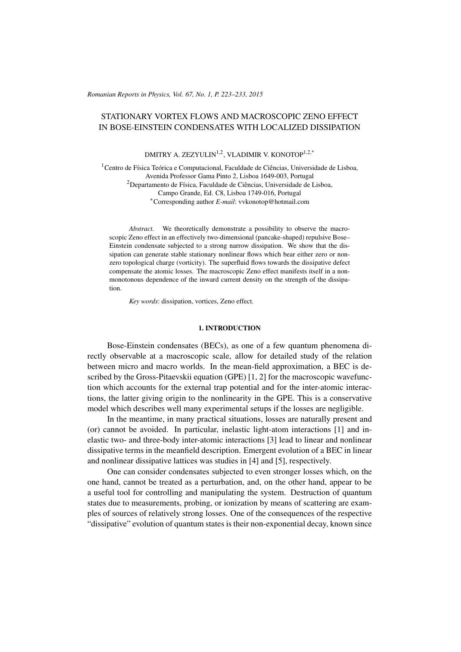*Romanian Reports in Physics, Vol. 67, No. 1, P. 223–233, 2015*

# STATIONARY VORTEX FLOWS AND MACROSCOPIC ZENO EFFECT IN BOSE-EINSTEIN CONDENSATES WITH LOCALIZED DISSIPATION

DMITRY A. ZEZYULIN<sup>1,2</sup>, VLADIMIR V. KONOTOP<sup>1,2,\*</sup>

 ${}^{1}$ Centro de Física Teórica e Computacional, Faculdade de Ciências, Universidade de Lisboa, Avenida Professor Gama Pinto 2, Lisboa 1649-003, Portugal  $2$ Departamento de Física, Faculdade de Ciências, Universidade de Lisboa, Campo Grande, Ed. C8, Lisboa 1749-016, Portugal <sup>∗</sup>Corresponding author *E-mail*: vvkonotop@hotmail.com

*Abstract.* We theoretically demonstrate a possibility to observe the macroscopic Zeno effect in an effectively two-dimensional (pancake-shaped) repulsive Bose– Einstein condensate subjected to a strong narrow dissipation. We show that the dissipation can generate stable stationary nonlinear flows which bear either zero or nonzero topological charge (vorticity). The superfluid flows towards the dissipative defect compensate the atomic losses. The macroscopic Zeno effect manifests itself in a nonmonotonous dependence of the inward current density on the strength of the dissipation.

*Key words*: dissipation, vortices, Zeno effect.

#### 1. INTRODUCTION

Bose-Einstein condensates (BECs), as one of a few quantum phenomena directly observable at a macroscopic scale, allow for detailed study of the relation between micro and macro worlds. In the mean-field approximation, a BEC is described by the Gross-Pitaevskii equation (GPE) [\[1,](#page-9-0) [2\]](#page-9-1) for the macroscopic wavefunction which accounts for the external trap potential and for the inter-atomic interactions, the latter giving origin to the nonlinearity in the GPE. This is a conservative model which describes well many experimental setups if the losses are negligible.

In the meantime, in many practical situations, losses are naturally present and (or) cannot be avoided. In particular, inelastic light-atom interactions [\[1\]](#page-9-0) and inelastic two- and three-body inter-atomic interactions [\[3\]](#page-10-0) lead to linear and nonlinear dissipative terms in the meanfield description. Emergent evolution of a BEC in linear and nonlinear dissipative lattices was studies in [\[4\]](#page-10-1) and [\[5\]](#page-10-2), respectively.

One can consider condensates subjected to even stronger losses which, on the one hand, cannot be treated as a perturbation, and, on the other hand, appear to be a useful tool for controlling and manipulating the system. Destruction of quantum states due to measurements, probing, or ionization by means of scattering are examples of sources of relatively strong losses. One of the consequences of the respective "dissipative" evolution of quantum states is their non-exponential decay, known since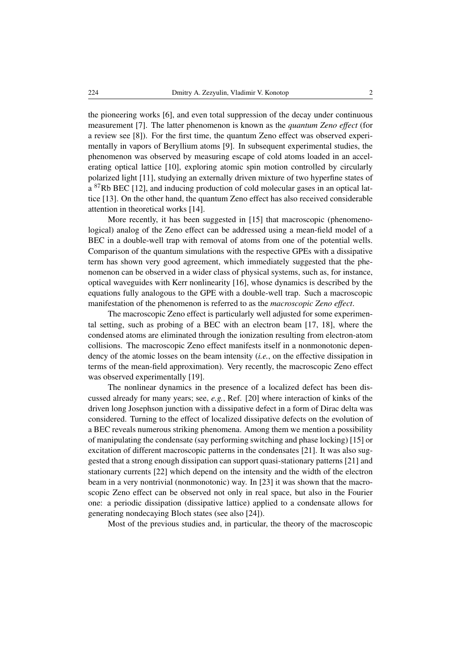the pioneering works [\[6\]](#page-10-3), and even total suppression of the decay under continuous measurement [\[7\]](#page-10-4). The latter phenomenon is known as the *quantum Zeno effect* (for a review see [\[8\]](#page-10-5)). For the first time, the quantum Zeno effect was observed experimentally in vapors of Beryllium atoms [\[9\]](#page-10-6). In subsequent experimental studies, the phenomenon was observed by measuring escape of cold atoms loaded in an accelerating optical lattice [\[10\]](#page-10-7), exploring atomic spin motion controlled by circularly polarized light [\[11\]](#page-10-8), studying an externally driven mixture of two hyperfine states of a <sup>87</sup>Rb BEC [\[12\]](#page-10-9), and inducing production of cold molecular gases in an optical lattice [\[13\]](#page-10-10). On the other hand, the quantum Zeno effect has also received considerable attention in theoretical works [\[14\]](#page-10-11).

More recently, it has been suggested in [\[15\]](#page-10-12) that macroscopic (phenomenological) analog of the Zeno effect can be addressed using a mean-field model of a BEC in a double-well trap with removal of atoms from one of the potential wells. Comparison of the quantum simulations with the respective GPEs with a dissipative term has shown very good agreement, which immediately suggested that the phenomenon can be observed in a wider class of physical systems, such as, for instance, optical waveguides with Kerr nonlinearity [\[16\]](#page-10-13), whose dynamics is described by the equations fully analogous to the GPE with a double-well trap. Such a macroscopic manifestation of the phenomenon is referred to as the *macroscopic Zeno effect*.

The macroscopic Zeno effect is particularly well adjusted for some experimental setting, such as probing of a BEC with an electron beam [\[17,](#page-10-14) [18\]](#page-10-15), where the condensed atoms are eliminated through the ionization resulting from electron-atom collisions. The macroscopic Zeno effect manifests itself in a nonmonotonic dependency of the atomic losses on the beam intensity (*i.e.*, on the effective dissipation in terms of the mean-field approximation). Very recently, the macroscopic Zeno effect was observed experimentally [\[19\]](#page-10-16).

The nonlinear dynamics in the presence of a localized defect has been discussed already for many years; see, *e.g.*, Ref. [\[20\]](#page-10-17) where interaction of kinks of the driven long Josephson junction with a dissipative defect in a form of Dirac delta was considered. Turning to the effect of localized dissipative defects on the evolution of a BEC reveals numerous striking phenomena. Among them we mention a possibility of manipulating the condensate (say performing switching and phase locking) [\[15\]](#page-10-12) or excitation of different macroscopic patterns in the condensates [\[21\]](#page-10-18). It was also suggested that a strong enough dissipation can support quasi-stationary patterns [\[21\]](#page-10-18) and stationary currents [\[22\]](#page-10-19) which depend on the intensity and the width of the electron beam in a very nontrivial (nonmonotonic) way. In [\[23\]](#page-10-20) it was shown that the macroscopic Zeno effect can be observed not only in real space, but also in the Fourier one: a periodic dissipation (dissipative lattice) applied to a condensate allows for generating nondecaying Bloch states (see also [\[24\]](#page-10-21)).

Most of the previous studies and, in particular, the theory of the macroscopic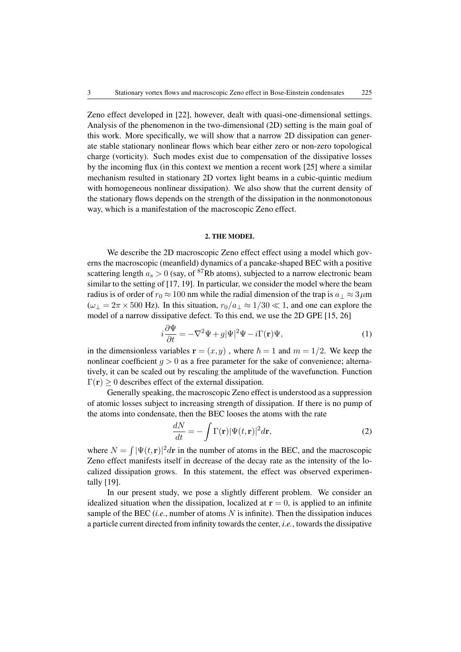Zeno effect developed in [\[22\]](#page-10-19), however, dealt with quasi-one-dimensional settings. Analysis of the phenomenon in the two-dimensional (2D) setting is the main goal of this work. More specifically, we will show that a narrow 2D dissipation can generate stable stationary nonlinear flows which bear either zero or non-zero topological charge (vorticity). Such modes exist due to compensation of the dissipative losses by the incoming flux (in this context we mention a recent work [\[25\]](#page-10-22) where a similar mechanism resulted in stationary 2D vortex light beams in a cubic-quintic medium with homogeneous nonlinear dissipation). We also show that the current density of the stationary flows depends on the strength of the dissipation in the nonmonotonous way, which is a manifestation of the macroscopic Zeno effect.

### 2. THE MODEL

We describe the 2D macroscopic Zeno effect effect using a model which governs the macroscopic (meanfield) dynamics of a pancake-shaped BEC with a positive scattering length  $a_s > 0$  (say, of <sup>87</sup>Rb atoms), subjected to a narrow electronic beam similar to the setting of [\[17,](#page-10-14) [19\]](#page-10-16). In particular, we consider the model where the beam radius is of order of  $r_0 \approx 100$  nm while the radial dimension of the trap is  $a_\perp \approx 3 \,\mu$ m  $(\omega_{\perp} = 2\pi \times 500 \text{ Hz})$ . In this situation,  $r_0/a_{\perp} \approx 1/30 \ll 1$ , and one can explore the model of a narrow dissipative defect. To this end, we use the 2D GPE [\[15,](#page-10-12) [26\]](#page-10-23)

<span id="page-2-0"></span>
$$
i\frac{\partial \Psi}{\partial t} = -\nabla^2 \Psi + g|\Psi|^2 \Psi - i\Gamma(\mathbf{r})\Psi,\tag{1}
$$

in the dimensionless variables  $\mathbf{r} = (x, y)$ , where  $\hbar = 1$  and  $m = 1/2$ . We keep the nonlinear coefficient  $q > 0$  as a free parameter for the sake of convenience; alternatively, it can be scaled out by rescaling the amplitude of the wavefunction. Function  $\Gamma(\mathbf{r}) > 0$  describes effect of the external dissipation.

Generally speaking, the macroscopic Zeno effect is understood as a suppression of atomic losses subject to increasing strength of dissipation. If there is no pump of the atoms into condensate, then the BEC looses the atoms with the rate

$$
\frac{dN}{dt} = -\int \Gamma(\mathbf{r}) |\Psi(t, \mathbf{r})|^2 d\mathbf{r},\tag{2}
$$

where  $N = \int |\Psi(t, r)|^2 dr$  in the number of atoms in the BEC, and the macroscopic Zeno effect manifests itself in decrease of the decay rate as the intensity of the localized dissipation grows. In this statement, the effect was observed experimentally [\[19\]](#page-10-16).

In our present study, we pose a slightly different problem. We consider an idealized situation when the dissipation, localized at  $r = 0$ , is applied to an infinite sample of the BEC  $(i.e.,$  number of atoms  $N$  is infinite). Then the dissipation induces a particle current directed from infinity towards the center, *i.e.*, towards the dissipative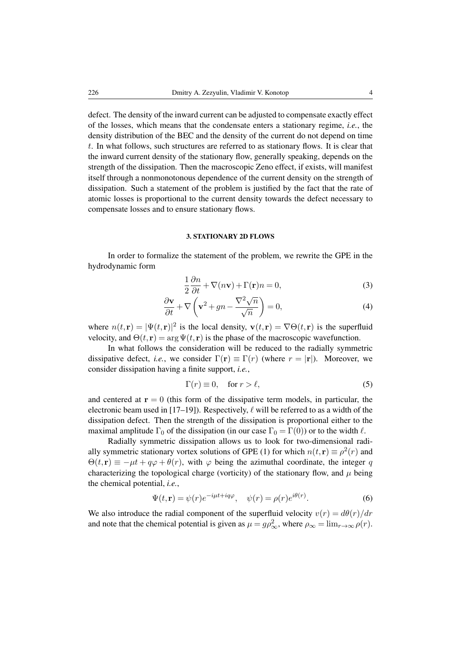defect. The density of the inward current can be adjusted to compensate exactly effect of the losses, which means that the condensate enters a stationary regime, *i.e.*, the density distribution of the BEC and the density of the current do not depend on time t. In what follows, such structures are referred to as stationary flows. It is clear that the inward current density of the stationary flow, generally speaking, depends on the strength of the dissipation. Then the macroscopic Zeno effect, if exists, will manifest itself through a nonmonotonous dependence of the current density on the strength of dissipation. Such a statement of the problem is justified by the fact that the rate of atomic losses is proportional to the current density towards the defect necessary to compensate losses and to ensure stationary flows.

#### 3. STATIONARY 2D FLOWS

In order to formalize the statement of the problem, we rewrite the GPE in the hydrodynamic form

<span id="page-3-1"></span>
$$
\frac{1}{2}\frac{\partial n}{\partial t} + \nabla(n\mathbf{v}) + \Gamma(\mathbf{r})n = 0,\tag{3}
$$

$$
\frac{\partial \mathbf{v}}{\partial t} + \nabla \left( \mathbf{v}^2 + gn - \frac{\nabla^2 \sqrt{n}}{\sqrt{n}} \right) = 0,
$$
\n(4)

where  $n(t, \mathbf{r}) = |\Psi(t, \mathbf{r})|^2$  is the local density,  $\mathbf{v}(t, \mathbf{r}) = \nabla \Theta(t, \mathbf{r})$  is the superfluid velocity, and  $\Theta(t, \mathbf{r}) = \arg \Psi(t, \mathbf{r})$  is the phase of the macroscopic wavefunction.

In what follows the consideration will be reduced to the radially symmetric dissipative defect, *i.e.*, we consider  $\Gamma(\mathbf{r}) \equiv \Gamma(r)$  (where  $r = |\mathbf{r}|$ ). Moreover, we consider dissipation having a finite support, *i.e.*,

<span id="page-3-2"></span>
$$
\Gamma(r) \equiv 0, \quad \text{for } r > \ell,
$$
\n<sup>(5)</sup>

and centered at  $r = 0$  (this form of the dissipative term models, in particular, the electronic beam used in [\[17](#page-10-14)[–19\]](#page-10-16)). Respectively,  $\ell$  will be referred to as a width of the dissipation defect. Then the strength of the dissipation is proportional either to the maximal amplitude  $\Gamma_0$  of the dissipation (in our case  $\Gamma_0 = \Gamma(0)$ ) or to the width  $\ell$ .

Radially symmetric dissipation allows us to look for two-dimensional radi-ally symmetric stationary vortex solutions of GPE [\(1\)](#page-2-0) for which  $n(t, \mathbf{r}) \equiv \rho^2(r)$  and  $\Theta(t, r) \equiv -\mu t + q\varphi + \theta(r)$ , with  $\varphi$  being the azimuthal coordinate, the integer q characterizing the topological charge (vorticity) of the stationary flow, and  $\mu$  being the chemical potential, *i.e.*,

<span id="page-3-0"></span>
$$
\Psi(t, \mathbf{r}) = \psi(r)e^{-i\mu t + iq\varphi}, \quad \psi(r) = \rho(r)e^{i\theta(r)}.
$$
\n(6)

We also introduce the radial component of the superfluid velocity  $v(r) = d\theta(r)/dr$ and note that the chemical potential is given as  $\mu = g \rho_{\infty}^2$ , where  $\rho_{\infty} = \lim_{r \to \infty} \rho(r)$ .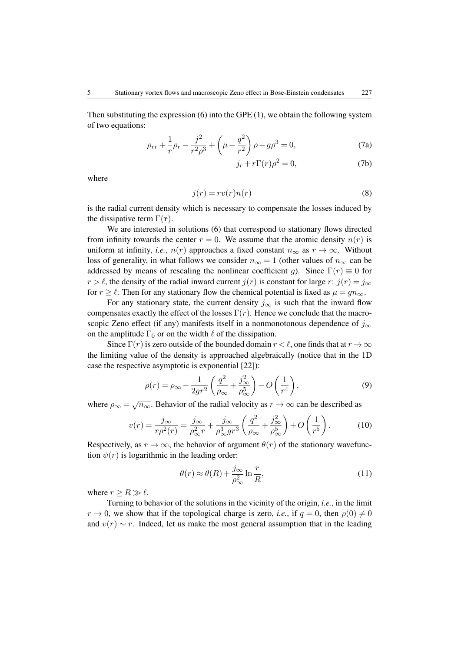Then substituting the expression [\(6\)](#page-3-0) into the GPE [\(1\)](#page-2-0), we obtain the following system of two equations:

<span id="page-4-0"></span>
$$
\rho_{rr} + \frac{1}{r} \rho_r - \frac{j^2}{r^2 \rho^3} + \left(\mu - \frac{q^2}{r^2}\right) \rho - g\rho^3 = 0,
$$
\n(7a)

$$
j_r + r\Gamma(r)\rho^2 = 0,\t(7b)
$$

where

<span id="page-4-1"></span>
$$
j(r) = rv(r)n(r)
$$
\n(8)

is the radial current density which is necessary to compensate the losses induced by the dissipative term  $\Gamma(\mathbf{r})$ .

We are interested in solutions [\(6\)](#page-3-0) that correspond to stationary flows directed from infinity towards the center  $r = 0$ . We assume that the atomic density  $n(r)$  is uniform at infinity, *i.e.*,  $n(r)$  approaches a fixed constant  $n_{\infty}$  as  $r \to \infty$ . Without loss of generality, in what follows we consider  $n_{\infty} = 1$  (other values of  $n_{\infty}$  can be addressed by means of rescaling the nonlinear coefficient g). Since  $\Gamma(r) \equiv 0$  for  $r > \ell$ , the density of the radial inward current  $j(r)$  is constant for large r:  $j(r) = j_{\infty}$ for  $r \ge \ell$ . Then for any stationary flow the chemical potential is fixed as  $\mu = qn_{\infty}$ .

For any stationary state, the current density  $j_{\infty}$  is such that the inward flow compensates exactly the effect of the losses  $\Gamma(r)$ . Hence we conclude that the macroscopic Zeno effect (if any) manifests itself in a nonmonotonous dependence of  $j_{\infty}$ on the amplitude  $\Gamma_0$  or on the width  $\ell$  of the dissipation.

Since  $\Gamma(r)$  is zero outside of the bounded domain  $r < \ell$ , one finds that at  $r \to \infty$ the limiting value of the density is approached algebraically (notice that in the 1D case the respective asymptotic is exponential [\[22\]](#page-10-19)):

$$
\rho(r) = \rho_{\infty} - \frac{1}{2gr^2} \left( \frac{q^2}{\rho_{\infty}} + \frac{j_{\infty}^2}{\rho_{\infty}^5} \right) - O\left(\frac{1}{r^4}\right),\tag{9}
$$

where  $\rho_{\infty} = \sqrt{n_{\infty}}$ . Behavior of the radial velocity as  $r \to \infty$  can be described as

$$
v(r) = \frac{j_{\infty}}{r\rho^2(r)} = \frac{j_{\infty}}{\rho_{\infty}^2 r} + \frac{j_{\infty}}{\rho_{\infty}^3 gr^3} \left(\frac{q^2}{\rho_{\infty}} + \frac{j_{\infty}^2}{\rho_{\infty}^5}\right) + O\left(\frac{1}{r^5}\right). \tag{10}
$$

Respectively, as  $r \to \infty$ , the behavior of argument  $\theta(r)$  of the stationary wavefunction  $\psi(r)$  is logarithmic in the leading order:

$$
\theta(r) \approx \theta(R) + \frac{j_{\infty}}{\rho_{\infty}^2} \ln \frac{r}{R},\tag{11}
$$

where  $r \geq R \gg \ell$ .

Turning to behavior of the solutions in the vicinity of the origin, *i.e.*, in the limit  $r \to 0$ , we show that if the topological charge is zero, *i.e.*, if  $q = 0$ , then  $\rho(0) \neq 0$ and  $v(r) \sim r$ . Indeed, let us make the most general assumption that in the leading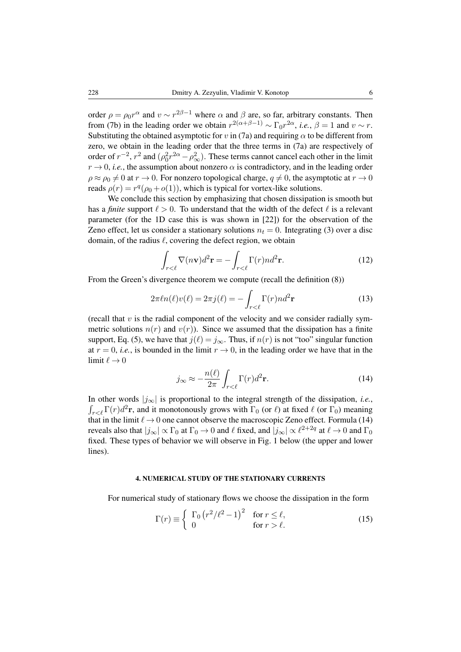order  $\rho = \rho_0 r^{\alpha}$  and  $v \sim r^{2\beta - 1}$  where  $\alpha$  and  $\beta$  are, so far, arbitrary constants. Then from [\(7b\)](#page-4-0) in the leading order we obtain  $r^{2(\alpha+\beta-1)} \sim \Gamma_0 r^{2\alpha}$ , *i.e.*,  $\beta = 1$  and  $v \sim r$ . Substituting the obtained asymptotic for v in [\(7a\)](#page-4-0) and requiring  $\alpha$  to be different from zero, we obtain in the leading order that the three terms in [\(7a\)](#page-4-0) are respectively of order of  $r^{-2}$ ,  $r^2$  and  $(\rho_0^2 r^{2\alpha} - \rho_\infty^2)$ . These terms cannot cancel each other in the limit  $r \to 0$ , *i.e.*, the assumption about nonzero  $\alpha$  is contradictory, and in the leading order  $\rho \approx \rho_0 \neq 0$  at  $r \to 0$ . For nonzero topological charge,  $q \neq 0$ , the asymptotic at  $r \to 0$ reads  $\rho(r) = r^q(\rho_0 + o(1))$ , which is typical for vortex-like solutions.

We conclude this section by emphasizing that chosen dissipation is smooth but has a *finite* support  $\ell > 0$ . To understand that the width of the defect  $\ell$  is a relevant parameter (for the 1D case this is was shown in [\[22\]](#page-10-19)) for the observation of the Zeno effect, let us consider a stationary solutions  $n_t = 0$ . Integrating [\(3\)](#page-3-1) over a disc domain, of the radius  $\ell$ , covering the defect region, we obtain

$$
\int_{r<\ell} \nabla(n\mathbf{v})d^2\mathbf{r} = -\int_{r<\ell} \Gamma(r)nd^2\mathbf{r}.\tag{12}
$$

From the Green's divergence theorem we compute (recall the definition [\(8\)](#page-4-1))

$$
2\pi \ell n(\ell)v(\ell) = 2\pi j(\ell) = -\int_{r < \ell} \Gamma(r) n d^2 \mathbf{r}
$$
 (13)

(recall that  $v$  is the radial component of the velocity and we consider radially symmetric solutions  $n(r)$  and  $v(r)$ ). Since we assumed that the dissipation has a finite support, Eq. [\(5\)](#page-3-2), we have that  $j(\ell) = j_{\infty}$ . Thus, if  $n(r)$  is not "too" singular function at  $r = 0$ , *i.e.*, is bounded in the limit  $r \to 0$ , in the leading order we have that in the limit  $\ell \to 0$ 

<span id="page-5-0"></span>
$$
j_{\infty} \approx -\frac{n(\ell)}{2\pi} \int_{r < \ell} \Gamma(r) d^2 \mathbf{r}.
$$
 (14)

In other words |j∞| is proportional to the integral strength of the dissipation, *i.e.*,  $\int_{r<\ell} \Gamma(r) d^2 \mathbf{r}$ , and it monotonously grows with  $\Gamma_0$  (or  $\ell$ ) at fixed  $\ell$  (or  $\Gamma_0$ ) meaning that in the limit  $\ell \rightarrow 0$  one cannot observe the macroscopic Zeno effect. Formula [\(14\)](#page-5-0) reveals also that  $|j_\infty|\propto \Gamma_0$  at  $\Gamma_0\to 0$  and  $\ell$  fixed, and  $|j_\infty|\propto \ell^{2+2q}$  at  $\ell\to 0$  and  $\Gamma_0$ fixed. These types of behavior we will observe in Fig. [1](#page-7-0) below (the upper and lower lines).

## 4. NUMERICAL STUDY OF THE STATIONARY CURRENTS

For numerical study of stationary flows we choose the dissipation in the form

$$
\Gamma(r) \equiv \begin{cases} \Gamma_0 \left( r^2 / \ell^2 - 1 \right)^2 & \text{for } r \le \ell, \\ 0 & \text{for } r > \ell. \end{cases}
$$
 (15)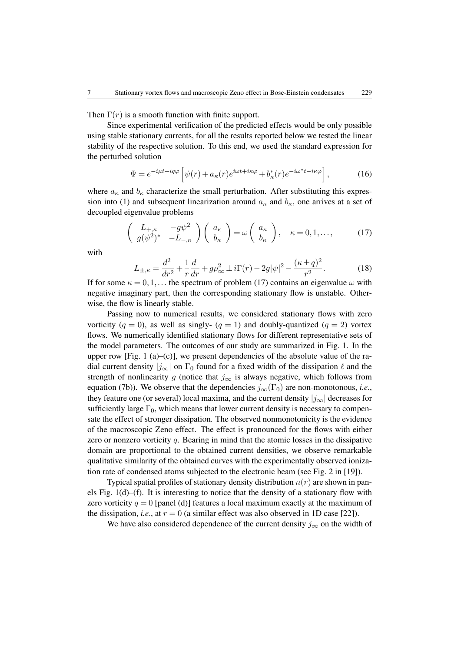Then  $\Gamma(r)$  is a smooth function with finite support.

Since experimental verification of the predicted effects would be only possible using stable stationary currents, for all the results reported below we tested the linear stability of the respective solution. To this end, we used the standard expression for the perturbed solution

$$
\Psi = e^{-i\mu t + iq\varphi} \left[ \psi(r) + a_{\kappa}(r)e^{i\omega t + i\kappa\varphi} + b_{\kappa}^*(r)e^{-i\omega^* t - i\kappa\varphi} \right],\tag{16}
$$

where  $a_{\kappa}$  and  $b_{\kappa}$  characterize the small perturbation. After substituting this expres-sion into [\(1\)](#page-2-0) and subsequent linearization around  $a_{\kappa}$  and  $b_{\kappa}$ , one arrives at a set of decoupled eigenvalue problems

<span id="page-6-0"></span>
$$
\begin{pmatrix} L_{+,\kappa} & -g\psi^2 \\ g(\psi^2)^* & -L_{-,\kappa} \end{pmatrix} \begin{pmatrix} a_{\kappa} \\ b_{\kappa} \end{pmatrix} = \omega \begin{pmatrix} a_{\kappa} \\ b_{\kappa} \end{pmatrix}, \quad \kappa = 0, 1, ..., \tag{17}
$$

with

$$
L_{\pm,\kappa} = \frac{d^2}{dr^2} + \frac{1}{r}\frac{d}{dr} + g\rho_{\infty}^2 \pm i\Gamma(r) - 2g|\psi|^2 - \frac{(\kappa \pm q)^2}{r^2}.
$$
 (18)

If for some  $\kappa = 0, 1, \dots$  the spectrum of problem [\(17\)](#page-6-0) contains an eigenvalue  $\omega$  with negative imaginary part, then the corresponding stationary flow is unstable. Otherwise, the flow is linearly stable.

Passing now to numerical results, we considered stationary flows with zero vorticity ( $q = 0$ ), as well as singly- ( $q = 1$ ) and doubly-quantized ( $q = 2$ ) vortex flows. We numerically identified stationary flows for different representative sets of the model parameters. The outcomes of our study are summarized in Fig. [1.](#page-7-0) In the upper row [Fig. [1](#page-7-0) (a)–(c)], we present dependencies of the absolute value of the radial current density  $|j_{\infty}|$  on  $\Gamma_0$  found for a fixed width of the dissipation  $\ell$  and the strength of nonlinearity g (notice that  $j_{\infty}$  is always negative, which follows from equation [\(7b\)](#page-4-0)). We observe that the dependencies  $j_{\infty}(\Gamma_0)$  are non-monotonous, *i.e.*, they feature one (or several) local maxima, and the current density  $|j_{\infty}|$  decreases for sufficiently large  $\Gamma_0$ , which means that lower current density is necessary to compensate the effect of stronger dissipation. The observed nonmonotonicity is the evidence of the macroscopic Zeno effect. The effect is pronounced for the flows with either zero or nonzero vorticity  $q$ . Bearing in mind that the atomic losses in the dissipative domain are proportional to the obtained current densities, we observe remarkable qualitative similarity of the obtained curves with the experimentally observed ionization rate of condensed atoms subjected to the electronic beam (see Fig. 2 in [\[19\]](#page-10-16)).

Typical spatial profiles of stationary density distribution  $n(r)$  are shown in panels Fig.  $1(d)$ –(f). It is interesting to notice that the density of a stationary flow with zero vorticity  $q = 0$  [panel (d)] features a local maximum exactly at the maximum of the dissipation, *i.e.*, at  $r = 0$  (a similar effect was also observed in 1D case [\[22\]](#page-10-19)).

We have also considered dependence of the current density  $j_{\infty}$  on the width of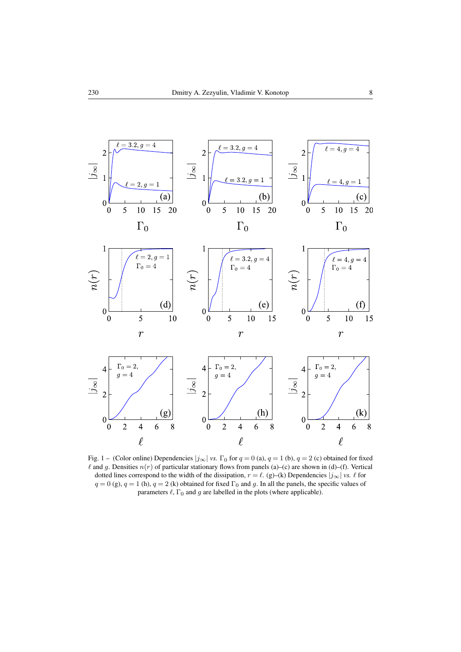

<span id="page-7-0"></span>Fig. 1 – (Color online) Dependencies  $|j_{\infty}|$  *vs.*  $\Gamma_0$  for  $q = 0$  (a),  $q = 1$  (b),  $q = 2$  (c) obtained for fixed  $\ell$  and g. Densities  $n(r)$  of particular stationary flows from panels (a)–(c) are shown in (d)–(f). Vertical dotted lines correspond to the width of the dissipation,  $r = \ell$ . (g)–(k) Dependencies  $|j_{\infty}|$  *vs.*  $\ell$  for  $q = 0$  (g),  $q = 1$  (h),  $q = 2$  (k) obtained for fixed  $\Gamma_0$  and g. In all the panels, the specific values of parameters  $\ell$ ,  $\Gamma_0$  and g are labelled in the plots (where applicable).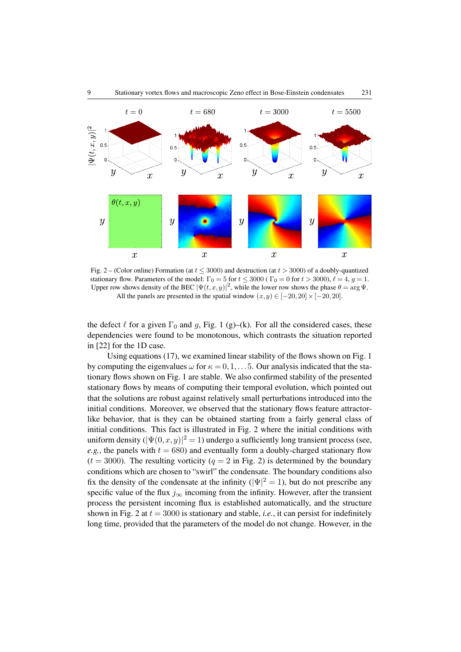

<span id="page-8-0"></span>Fig. 2 – (Color online) Formation (at  $t \leq 3000$ ) and destruction (at  $t > 3000$ ) of a doubly-quantized stationary flow. Parameters of the model:  $\Gamma_0 = 5$  for  $t \le 3000$  ( $\Gamma_0 = 0$  for  $t > 3000$ ),  $\ell = 4$ ,  $g = 1$ . Upper row shows density of the BEC  $|\Psi(t,x,y)|^2$ , while the lower row shows the phase  $\theta = \arg \Psi$ . All the panels are presented in the spatial window  $(x, y) \in [-20, 20] \times [-20, 20]$ .

the defect  $\ell$  for a given  $\Gamma_0$  and g, Fig. [1](#page-7-0) (g)–(k). For all the considered cases, these dependencies were found to be monotonous, which contrasts the situation reported in [\[22\]](#page-10-19) for the 1D case.

Using equations [\(17\)](#page-6-0), we examined linear stability of the flows shown on Fig. [1](#page-7-0) by computing the eigenvalues  $\omega$  for  $\kappa = 0, 1, \ldots, 5$ . Our analysis indicated that the stationary flows shown on Fig. [1](#page-7-0) are stable. We also confirmed stability of the presented stationary flows by means of computing their temporal evolution, which pointed out that the solutions are robust against relatively small perturbations introduced into the initial conditions. Moreover, we observed that the stationary flows feature attractorlike behavior, that is they can be obtained starting from a fairly general class of initial conditions. This fact is illustrated in Fig. [2](#page-8-0) where the initial conditions with uniform density  $(|\Psi(0, x, y)|^2 = 1)$  undergo a sufficiently long transient process (see, *e.g.*, the panels with  $t = 680$ ) and eventually form a doubly-charged stationary flow  $(t = 3000)$ . The resulting vorticity  $(q = 2 \text{ in Fig. 2})$  is determined by the boundary conditions which are chosen to "swirl" the condensate. The boundary conditions also fix the density of the condensate at the infinity ( $|\Psi|^2 = 1$ ), but do not prescribe any specific value of the flux  $j_{\infty}$  incoming from the infinity. However, after the transient process the persistent incoming flux is established automatically, and the structure shown in Fig. [2](#page-8-0) at  $t = 3000$  is stationary and stable, *i.e.*, it can persist for indefinitely long time, provided that the parameters of the model do not change. However, in the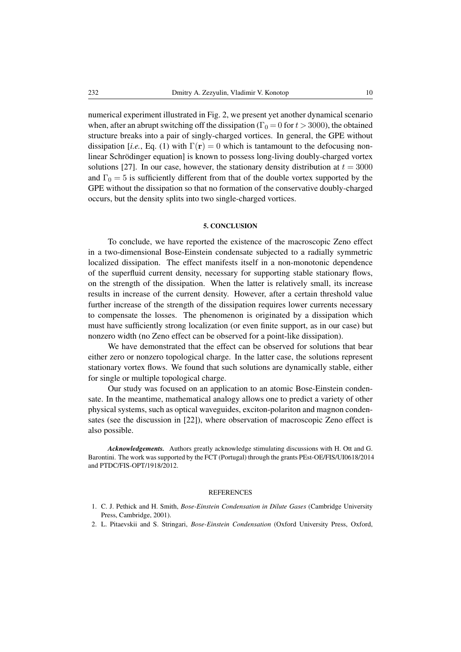numerical experiment illustrated in Fig. [2,](#page-8-0) we present yet another dynamical scenario when, after an abrupt switching off the dissipation ( $\Gamma_0 = 0$  for  $t > 3000$ ), the obtained structure breaks into a pair of singly-charged vortices. In general, the GPE without dissipation [*i.e.*, Eq. [\(1\)](#page-2-0) with  $\Gamma(\mathbf{r}) = 0$  which is tantamount to the defocusing nonlinear Schrödinger equation] is known to possess long-living doubly-charged vortex solutions [\[27\]](#page-10-24). In our case, however, the stationary density distribution at  $t = 3000$ and  $\Gamma_0 = 5$  is sufficiently different from that of the double vortex supported by the GPE without the dissipation so that no formation of the conservative doubly-charged occurs, but the density splits into two single-charged vortices.

## 5. CONCLUSION

To conclude, we have reported the existence of the macroscopic Zeno effect in a two-dimensional Bose-Einstein condensate subjected to a radially symmetric localized dissipation. The effect manifests itself in a non-monotonic dependence of the superfluid current density, necessary for supporting stable stationary flows, on the strength of the dissipation. When the latter is relatively small, its increase results in increase of the current density. However, after a certain threshold value further increase of the strength of the dissipation requires lower currents necessary to compensate the losses. The phenomenon is originated by a dissipation which must have sufficiently strong localization (or even finite support, as in our case) but nonzero width (no Zeno effect can be observed for a point-like dissipation).

We have demonstrated that the effect can be observed for solutions that bear either zero or nonzero topological charge. In the latter case, the solutions represent stationary vortex flows. We found that such solutions are dynamically stable, either for single or multiple topological charge.

Our study was focused on an application to an atomic Bose-Einstein condensate. In the meantime, mathematical analogy allows one to predict a variety of other physical systems, such as optical waveguides, exciton-polariton and magnon condensates (see the discussion in [\[22\]](#page-10-19)), where observation of macroscopic Zeno effect is also possible.

*Acknowledgements.* Authors greatly acknowledge stimulating discussions with H. Ott and G. Barontini. The work was supported by the FCT (Portugal) through the grants PEst-OE/FIS/UI0618/2014 and PTDC/FIS-OPT/1918/2012.

#### REFERENCES

- <span id="page-9-0"></span>1. C. J. Pethick and H. Smith, *Bose-Einstein Condensation in Dilute Gases* (Cambridge University Press, Cambridge, 2001).
- <span id="page-9-1"></span>2. L. Pitaevskii and S. Stringari, *Bose-Einstein Condensation* (Oxford University Press, Oxford,